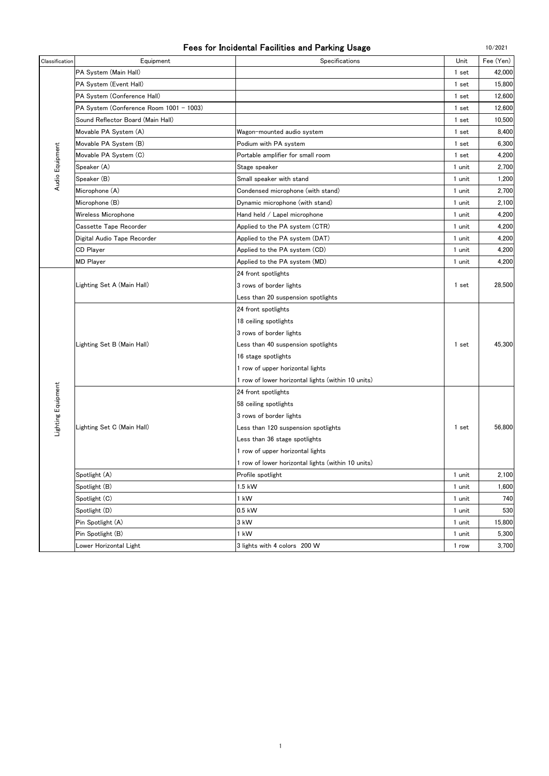| Fees for Incidental Facilities and Parking Usage |  |
|--------------------------------------------------|--|
|--------------------------------------------------|--|

| Classification     | Equipment                               | Specifications                                     | Unit   | Fee (Yen) |
|--------------------|-----------------------------------------|----------------------------------------------------|--------|-----------|
|                    | PA System (Main Hall)                   |                                                    | 1 set  | 42,000    |
|                    | PA System (Event Hall)                  |                                                    | 1 set  | 15,800    |
|                    | PA System (Conference Hall)             |                                                    | 1 set  | 12,600    |
|                    | PA System (Conference Room 1001 - 1003) |                                                    | 1 set  | 12,600    |
|                    | Sound Reflector Board (Main Hall)       |                                                    | 1 set  | 10.500    |
| Audio Equipment    | Movable PA System (A)                   | Wagon-mounted audio system                         | 1 set  | 8,400     |
|                    | Movable PA System (B)                   | Podium with PA system                              | 1 set  | 6,300     |
|                    | Movable PA System (C)                   | Portable amplifier for small room                  | 1 set  | 4,200     |
|                    | Speaker (A)                             | Stage speaker                                      | 1 unit | 2,700     |
|                    | Speaker (B)                             | Small speaker with stand                           |        | 1,200     |
|                    | Microphone (A)                          | Condensed microphone (with stand)                  | 1 unit | 2,700     |
|                    | Microphone (B)                          | Dynamic microphone (with stand)                    | 1 unit | 2,100     |
|                    | Wireless Microphone                     | Hand held / Lapel microphone                       | 1 unit | 4,200     |
|                    | <b>Cassette Tape Recorder</b>           | Applied to the PA system (CTR)                     | 1 unit | 4,200     |
|                    | Digital Audio Tape Recorder             | Applied to the PA system (DAT)                     | 1 unit | 4,200     |
|                    | <b>CD Player</b>                        | Applied to the PA system (CD)                      | 1 unit | 4,200     |
|                    | <b>MD Player</b>                        | Applied to the PA system (MD)                      | 1 unit | 4,200     |
|                    |                                         | 24 front spotlights                                |        |           |
|                    | Lighting Set A (Main Hall)              | 3 rows of border lights                            | 1 set  | 28,500    |
|                    |                                         | Less than 20 suspension spotlights                 |        |           |
|                    |                                         | 24 front spotlights                                |        |           |
|                    |                                         | 18 ceiling spotlights                              |        |           |
|                    |                                         | 3 rows of border lights                            |        |           |
|                    | Lighting Set B (Main Hall)              | Less than 40 suspension spotlights                 | 1 set  | 45.300    |
|                    |                                         | 16 stage spotlights                                |        |           |
|                    |                                         | 1 row of upper horizontal lights                   |        |           |
|                    |                                         | 1 row of lower horizontal lights (within 10 units) |        |           |
| Lighting Equipment |                                         | 24 front spotlights                                |        |           |
|                    |                                         | 58 ceiling spotlights                              |        |           |
|                    |                                         | 3 rows of border lights                            |        |           |
|                    | Lighting Set C (Main Hall)              | Less than 120 suspension spotlights                | 1 set  | 56,800    |
|                    |                                         | Less than 36 stage spotlights                      |        |           |
|                    |                                         | 1 row of upper horizontal lights                   |        |           |
|                    |                                         | 1 row of lower horizontal lights (within 10 units) |        |           |
|                    | Spotlight (A)                           | Profile spotlight                                  | 1 unit | 2,100     |
|                    | Spotlight (B)                           | 1.5 kW                                             | 1 unit | 1,600     |
|                    | Spotlight (C)                           | 1 kW                                               | 1 unit | 740       |
|                    | Spotlight (D)                           | $0.5$ kW                                           | 1 unit | 530       |
|                    | Pin Spotlight (A)                       | 3 kW                                               | 1 unit | 15,800    |
|                    | Pin Spotlight (B)                       | $1$ kW                                             | 1 unit | 5,300     |
|                    | Lower Horizontal Light                  | 3 lights with 4 colors 200 W                       | 1 row  | 3,700     |

10/2021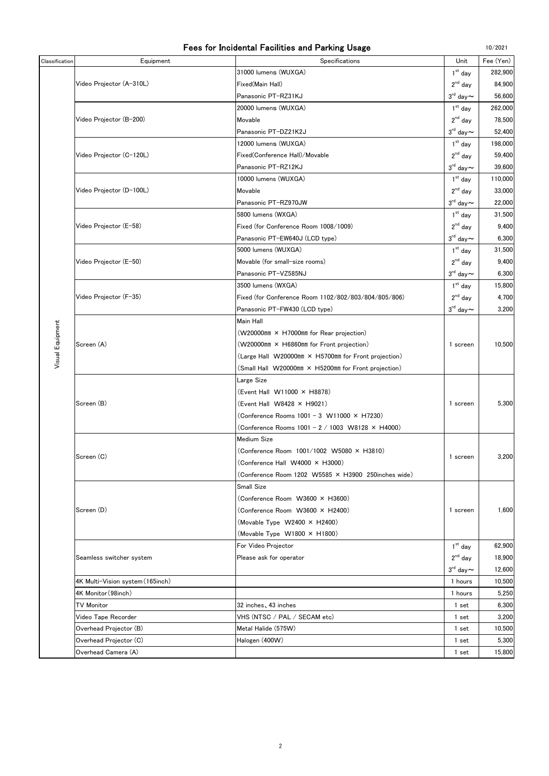|  | Fees for Incidental Facilities and Parking Usage |  |  |  |  |  |
|--|--------------------------------------------------|--|--|--|--|--|
|--|--------------------------------------------------|--|--|--|--|--|

 $10/2021$ 

| Classification   | Equipment                        | Specifications                                            | Unit                            | Fee (Yen) |
|------------------|----------------------------------|-----------------------------------------------------------|---------------------------------|-----------|
|                  |                                  | 31000 lumens (WUXGA)                                      | $1st$ day                       | 282,900   |
|                  | Video Projector (A-310L)         | Fixed(Main Hall)                                          | $2^{nd}$ day                    | 84,900    |
|                  |                                  | Panasonic PT-RZ31KJ                                       | $3^{\text{rd}}$ day $\thicksim$ | 56,600    |
|                  |                                  | 20000 lumens (WUXGA)                                      | $1st$ day                       | 262,000   |
|                  | Video Projector (B-200)          | Movable                                                   | $2nd$ day                       | 78,500    |
|                  |                                  | Panasonic PT-DZ21K2J                                      | $3^{\text{rd}}$ day $\thicksim$ | 52,400    |
|                  |                                  | 12000 lumens (WUXGA)                                      | $1st$ day                       | 198,000   |
|                  | Video Projector (C-120L)         | Fixed(Conference Hall)/Movable                            | $2^{nd}$ day                    | 59,400    |
|                  |                                  | Panasonic PT-RZ12KJ                                       | $3^{\rm rd}$ day $\thicksim$    | 39,600    |
|                  |                                  | 10000 lumens (WUXGA)                                      | $1st$ day                       | 110,000   |
|                  | Video Projector (D-100L)         | Movable                                                   | $2^{nd}$ day                    | 33,000    |
|                  |                                  | Panasonic PT-RZ970JW                                      | $3^{\text{rd}}$ day $\sim$      | 22,000    |
|                  |                                  | 5800 lumens (WXGA)                                        | $1st$ day                       | 31,500    |
|                  | Video Projector (E-58)           | Fixed (for Conference Room 1008/1009)                     | $2^{nd}$ day                    | 9,400     |
|                  |                                  | Panasonic PT-EW640J (LCD type)                            | $3^{\text{rd}}$ day $\sim$      | 6,300     |
|                  |                                  | 5000 lumens (WUXGA)                                       | $1st$ day                       | 31,500    |
|                  | Video Projector (E-50)           | Movable (for small-size rooms)                            | $2^{nd}$ day                    | 9,400     |
|                  |                                  | Panasonic PT-VZ585NJ                                      | $3^{\text{rd}}$ day $\sim$      | 6,300     |
|                  |                                  | 3500 lumens (WXGA)                                        | $1st$ day                       | 15,800    |
|                  | Video Projector (F-35)           | Fixed (for Conference Room 1102/802/803/804/805/806)      | $2nd$ day                       | 4,700     |
|                  |                                  | Panasonic PT-FW430 (LCD type)                             | $3^{\text{rd}}$ day $\sim$      | 3,200     |
|                  |                                  | Main Hall                                                 |                                 |           |
| Visual Equipment | Screen (A)                       | (W20000mm × H7000mm for Rear projection)                  |                                 |           |
|                  |                                  | (W20000mm × H6860mm for Front projection)                 | 1 screen                        | 10,500    |
|                  |                                  | (Large Hall W20000mm × H5700mm for Front projection)      |                                 |           |
|                  |                                  | (Small Hall W20000mm × H5200mm for Front projection)      |                                 |           |
|                  |                                  | Large Size                                                |                                 |           |
|                  |                                  | (Event Hall W11000 × H8878)                               |                                 |           |
|                  | Screen (B)                       | (Event Hall W8428 × H9021)                                | 1 screen                        | 5,300     |
|                  |                                  | (Conference Rooms 1001 - 3 W11000 × H7230)                |                                 |           |
|                  |                                  | (Conference Rooms $1001 - 2 / 1003$ W8128 $\times$ H4000) |                                 |           |
|                  |                                  | Medium Size                                               |                                 |           |
|                  | Screen (C)                       | (Conference Room 1001/1002 W5080 × H3810)                 | 1 screen                        | 3,200     |
|                  |                                  | (Conference Hall W4000 × H3000)                           |                                 |           |
|                  |                                  | (Conference Room 1202 W5585 × H3900 250inches wide)       |                                 |           |
|                  | Screen (D)                       | Small Size                                                |                                 |           |
|                  |                                  | (Conference Room W3600 × H3600)                           |                                 |           |
|                  |                                  | (Conference Room W3600 × H2400)                           | 1 screen                        | 1,600     |
|                  |                                  | (Movable Type $W2400 \times H2400$ )                      |                                 |           |
|                  |                                  | (Movable Type W1800 × H1800)                              |                                 |           |
|                  | Seamless switcher system         | For Video Projector                                       | $1st$ day                       | 62,900    |
|                  |                                  | Please ask for operator                                   | $2^{nd}$ day                    | 18,900    |
|                  |                                  |                                                           | $3^{\text{rd}}$ day $\sim$      | 12,600    |
|                  | 4K Multi-Vision system (165inch) |                                                           | 1 hours                         | 10,500    |
|                  | 4K Monitor (98inch)              |                                                           | 1 hours                         | 5,250     |
|                  | <b>TV Monitor</b>                | 32 inches, 43 inches                                      | 1 set                           | 6,300     |
|                  | Video Tape Recorder              | VHS (NTSC / PAL / SECAM etc)                              | 1 set                           | 3,200     |
|                  | Overhead Projector (B)           | Metal Halide (575W)                                       | 1 set                           | 10,500    |
|                  | Overhead Projector (C)           | Halogen (400W)                                            | 1 set                           | 5,300     |
|                  | Overhead Camera (A)              |                                                           | 1 set                           | 15,800    |

 $\overline{2}$